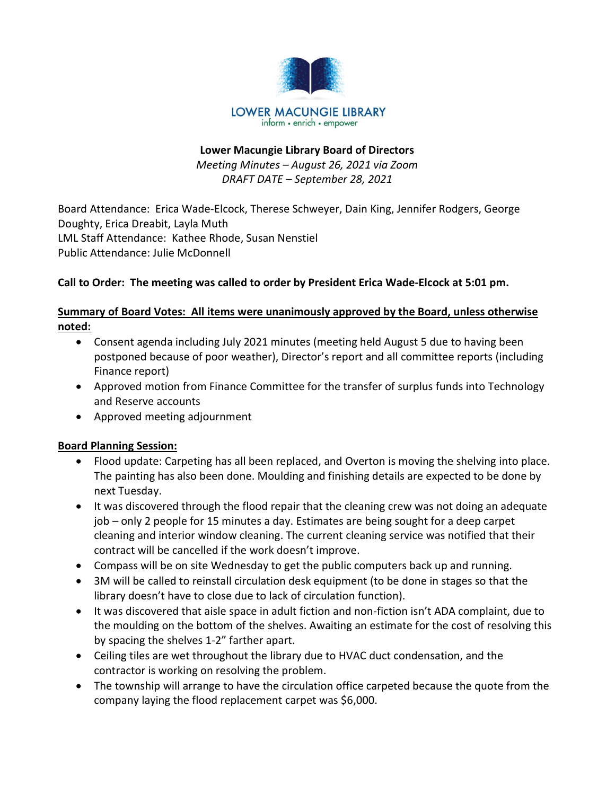

#### Lower Macungie Library Board of Directors Meeting Minutes – August 26, 2021 via Zoom DRAFT DATE – September 28, 2021

Board Attendance: Erica Wade-Elcock, Therese Schweyer, Dain King, Jennifer Rodgers, George Doughty, Erica Dreabit, Layla Muth LML Staff Attendance: Kathee Rhode, Susan Nenstiel Public Attendance: Julie McDonnell

#### Call to Order: The meeting was called to order by President Erica Wade-Elcock at 5:01 pm.

#### Summary of Board Votes: All items were unanimously approved by the Board, unless otherwise noted:

- Consent agenda including July 2021 minutes (meeting held August 5 due to having been postponed because of poor weather), Director's report and all committee reports (including Finance report)
- Approved motion from Finance Committee for the transfer of surplus funds into Technology and Reserve accounts
- Approved meeting adjournment

# Board Planning Session:

- Flood update: Carpeting has all been replaced, and Overton is moving the shelving into place. The painting has also been done. Moulding and finishing details are expected to be done by next Tuesday.
- It was discovered through the flood repair that the cleaning crew was not doing an adequate job – only 2 people for 15 minutes a day. Estimates are being sought for a deep carpet cleaning and interior window cleaning. The current cleaning service was notified that their contract will be cancelled if the work doesn't improve.
- Compass will be on site Wednesday to get the public computers back up and running.
- 3M will be called to reinstall circulation desk equipment (to be done in stages so that the library doesn't have to close due to lack of circulation function).
- It was discovered that aisle space in adult fiction and non-fiction isn't ADA complaint, due to the moulding on the bottom of the shelves. Awaiting an estimate for the cost of resolving this by spacing the shelves 1-2" farther apart.
- Ceiling tiles are wet throughout the library due to HVAC duct condensation, and the contractor is working on resolving the problem.
- The township will arrange to have the circulation office carpeted because the quote from the company laying the flood replacement carpet was \$6,000.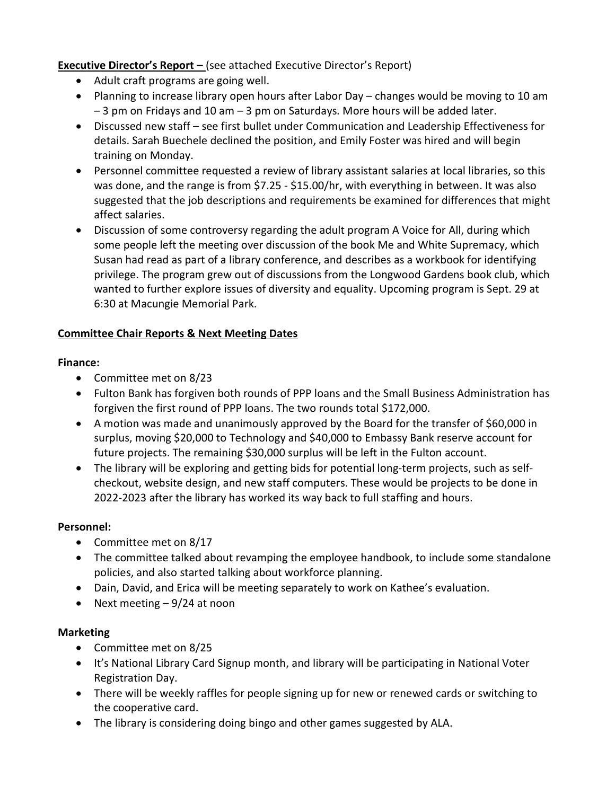**Executive Director's Report –** (see attached Executive Director's Report)

- Adult craft programs are going well.
- Planning to increase library open hours after Labor Day changes would be moving to 10 am – 3 pm on Fridays and 10 am – 3 pm on Saturdays. More hours will be added later.
- Discussed new staff see first bullet under Communication and Leadership Effectiveness for details. Sarah Buechele declined the position, and Emily Foster was hired and will begin training on Monday.
- Personnel committee requested a review of library assistant salaries at local libraries, so this was done, and the range is from \$7.25 - \$15.00/hr, with everything in between. It was also suggested that the job descriptions and requirements be examined for differences that might affect salaries.
- Discussion of some controversy regarding the adult program A Voice for All, during which some people left the meeting over discussion of the book Me and White Supremacy, which Susan had read as part of a library conference, and describes as a workbook for identifying privilege. The program grew out of discussions from the Longwood Gardens book club, which wanted to further explore issues of diversity and equality. Upcoming program is Sept. 29 at 6:30 at Macungie Memorial Park.

# Committee Chair Reports & Next Meeting Dates

#### Finance:

- Committee met on 8/23
- Fulton Bank has forgiven both rounds of PPP loans and the Small Business Administration has forgiven the first round of PPP loans. The two rounds total \$172,000.
- A motion was made and unanimously approved by the Board for the transfer of \$60,000 in surplus, moving \$20,000 to Technology and \$40,000 to Embassy Bank reserve account for future projects. The remaining \$30,000 surplus will be left in the Fulton account.
- The library will be exploring and getting bids for potential long-term projects, such as selfcheckout, website design, and new staff computers. These would be projects to be done in 2022-2023 after the library has worked its way back to full staffing and hours.

# Personnel:

- Committee met on 8/17
- The committee talked about revamping the employee handbook, to include some standalone policies, and also started talking about workforce planning.
- Dain, David, and Erica will be meeting separately to work on Kathee's evaluation.
- Next meeting  $-9/24$  at noon

# **Marketing**

- Committee met on 8/25
- It's National Library Card Signup month, and library will be participating in National Voter Registration Day.
- There will be weekly raffles for people signing up for new or renewed cards or switching to the cooperative card.
- The library is considering doing bingo and other games suggested by ALA.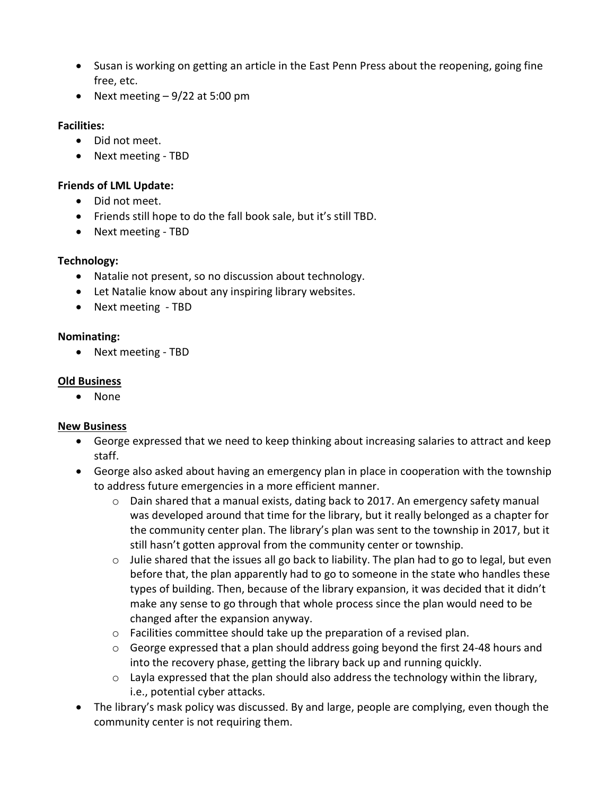- Susan is working on getting an article in the East Penn Press about the reopening, going fine free, etc.
- Next meeting  $-9/22$  at 5:00 pm

#### Facilities:

- Did not meet.
- Next meeting TBD

#### Friends of LML Update:

- Did not meet.
- Friends still hope to do the fall book sale, but it's still TBD.
- Next meeting TBD

#### Technology:

- Natalie not present, so no discussion about technology.
- Let Natalie know about any inspiring library websites.
- Next meeting TBD

#### Nominating:

• Next meeting - TBD

#### Old Business

• None

#### New Business

- George expressed that we need to keep thinking about increasing salaries to attract and keep staff.
- George also asked about having an emergency plan in place in cooperation with the township to address future emergencies in a more efficient manner.
	- $\circ$  Dain shared that a manual exists, dating back to 2017. An emergency safety manual was developed around that time for the library, but it really belonged as a chapter for the community center plan. The library's plan was sent to the township in 2017, but it still hasn't gotten approval from the community center or township.
	- $\circ$  Julie shared that the issues all go back to liability. The plan had to go to legal, but even before that, the plan apparently had to go to someone in the state who handles these types of building. Then, because of the library expansion, it was decided that it didn't make any sense to go through that whole process since the plan would need to be changed after the expansion anyway.
	- o Facilities committee should take up the preparation of a revised plan.
	- $\circ$  George expressed that a plan should address going beyond the first 24-48 hours and into the recovery phase, getting the library back up and running quickly.
	- $\circ$  Layla expressed that the plan should also address the technology within the library, i.e., potential cyber attacks.
- The library's mask policy was discussed. By and large, people are complying, even though the community center is not requiring them.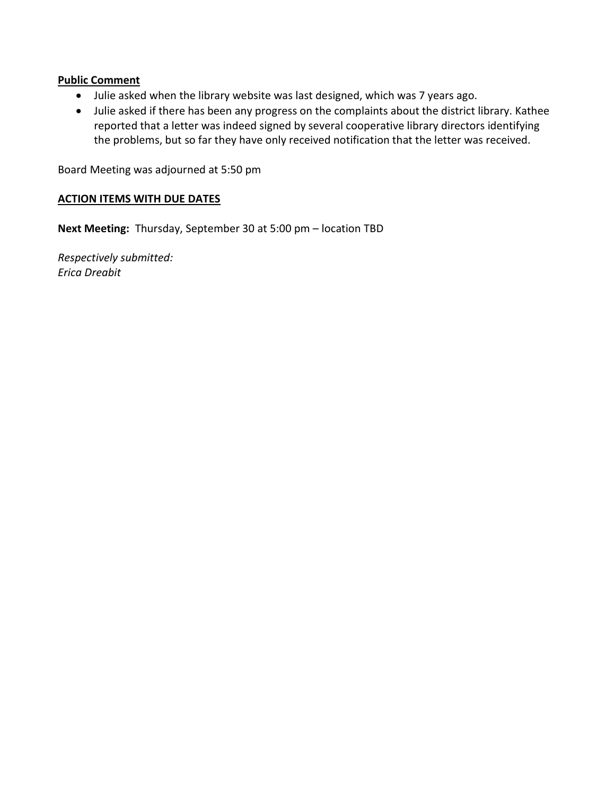#### Public Comment

- Julie asked when the library website was last designed, which was 7 years ago.
- Julie asked if there has been any progress on the complaints about the district library. Kathee reported that a letter was indeed signed by several cooperative library directors identifying the problems, but so far they have only received notification that the letter was received.

Board Meeting was adjourned at 5:50 pm

#### ACTION ITEMS WITH DUE DATES

Next Meeting: Thursday, September 30 at 5:00 pm – location TBD

Respectively submitted: Erica Dreabit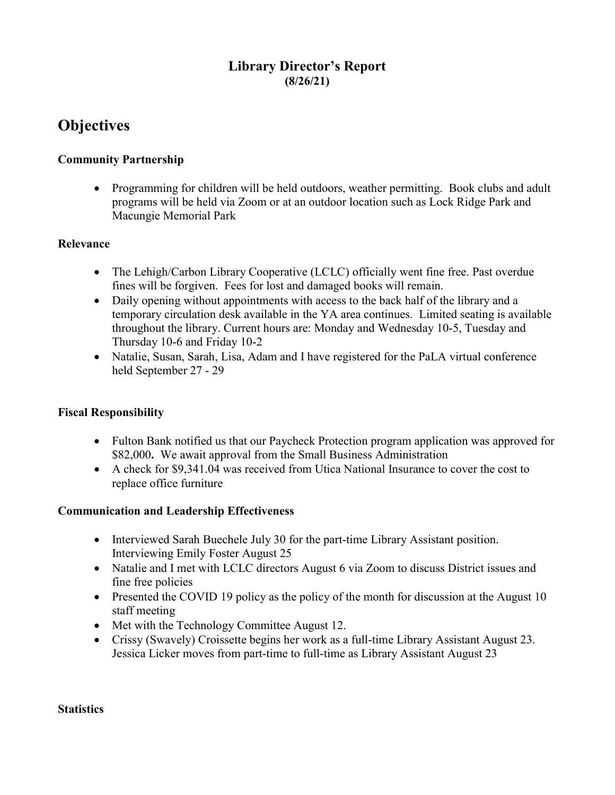# Library Director's Report (8/26/21)

# **Objectives**

#### Community Partnership

• Programming for children will be held outdoors, weather permitting. Book clubs and adult programs will be held via Zoom or at an outdoor location such as Lock Ridge Park and Macungie Memorial Park

#### Relevance

- The Lehigh/Carbon Library Cooperative (LCLC) officially went fine free. Past overdue fines will be forgiven. Fees for lost and damaged books will remain.
- Daily opening without appointments with access to the back half of the library and a temporary circulation desk available in the YA area continues. Limited seating is available throughout the library. Current hours are: Monday and Wednesday 10-5, Tuesday and Thursday 10-6 and Friday 10-2
- Natalie, Susan, Sarah, Lisa, Adam and I have registered for the PaLA virtual conference held September 27 - 29

#### Fiscal Responsibility

- Fulton Bank notified us that our Paycheck Protection program application was approved for \$82,000. We await approval from the Small Business Administration
- A check for \$9,341.04 was received from Utica National Insurance to cover the cost to replace office furniture

#### Communication and Leadership Effectiveness

- Interviewed Sarah Buechele July 30 for the part-time Library Assistant position. Interviewing Emily Foster August 25
- Natalie and I met with LCLC directors August 6 via Zoom to discuss District issues and fine free policies
- Presented the COVID 19 policy as the policy of the month for discussion at the August 10 staff meeting
- Met with the Technology Committee August 12.
- Crissy (Swavely) Croissette begins her work as a full-time Library Assistant August 23. Jessica Licker moves from part-time to full-time as Library Assistant August 23

#### **Statistics**